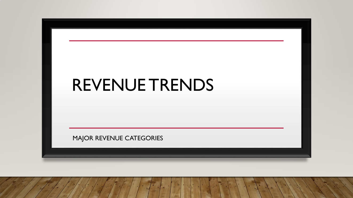# REVENUE TRENDS MAJOR REVENUE CATEGORIES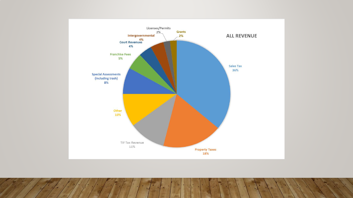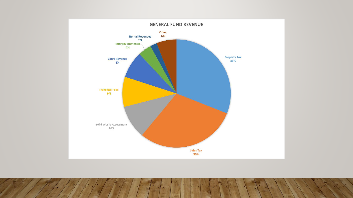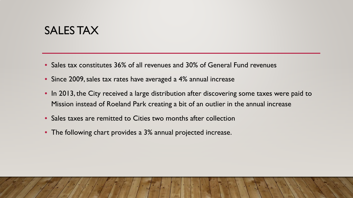## SALES TAX

- Sales tax constitutes 36% of all revenues and 30% of General Fund revenues
- Since 2009, sales tax rates have averaged a 4% annual increase
- In 2013, the City received a large distribution after discovering some taxes were paid to Mission instead of Roeland Park creating a bit of an outlier in the annual increase
- Sales taxes are remitted to Cities two months after collection
- The following chart provides a 3% annual projected increase.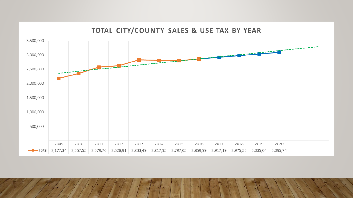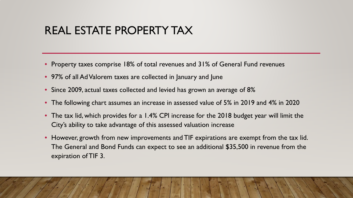# REAL ESTATE PROPERTY TAX

- Property taxes comprise 18% of total revenues and 31% of General Fund revenues
- 97% of all Ad Valorem taxes are collected in January and June
- Since 2009, actual taxes collected and levied has grown an average of 8%
- The following chart assumes an increase in assessed value of 5% in 2019 and 4% in 2020
- The tax lid, which provides for a 1.4% CPI increase for the 2018 budget year will limit the City's ability to take advantage of this assessed valuation increase
- However, growth from new improvements and TIF expirations are exempt from the tax lid. The General and Bond Funds can expect to see an additional \$35,500 in revenue from the expiration of TIF 3.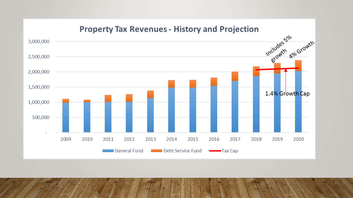#### **Property Tax Revenues - History and Projection**

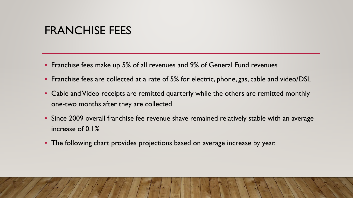## FRANCHISE FEES

- Franchise fees make up 5% of all revenues and 9% of General Fund revenues
- Franchise fees are collected at a rate of 5% for electric, phone, gas, cable and video/DSL
- Cable and Video receipts are remitted quarterly while the others are remitted monthly one-two months after they are collected
- Since 2009 overall franchise fee revenue shave remained relatively stable with an average increase of 0.1%
- The following chart provides projections based on average increase by year.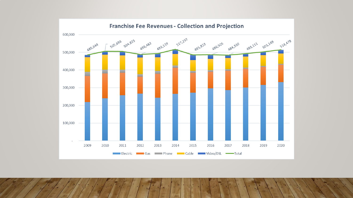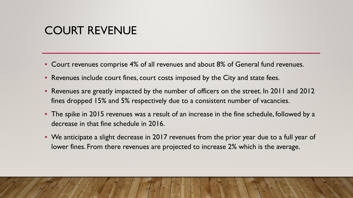# COURT REVENUE

- Court revenues comprise 4% of all revenues and about 8% of General fund revenues.
- Revenues include court fines, court costs imposed by the City and state fees.
- Revenues are greatly impacted by the number of officers on the street. In 2011 and 2012 fines dropped 15% and 5% respectively due to a consistent number of vacancies.
- The spike in 2015 revenues was a result of an increase in the fine schedule, followed by a decrease in that fine schedule in 2016.
- We anticipate a slight decrease in 2017 revenues from the prior year due to a full year of lower fines. From there revenues are projected to increase 2% which is the average.